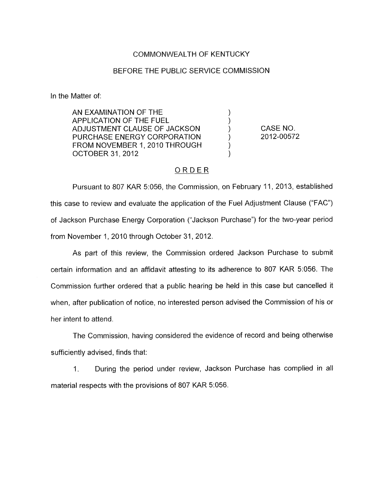## COMMONWEALTH OF KENTUCKY

## BEFORE THE PUBLIC SERVICE COMMISSION

In the Matter of:

AN EXAMINATION OF THE ) APPLICATION OF THE FUEL ) ADJUSTMENT CLAUSE OF JACKSON (a)<br>PURCHASE ENERGY CORPORATION (b) PURCHASE ENERGY CORPORATION FROM NOVEMBER 1, 2010 THROUGH **OCTOBER 31, 2012** 

CASE NO. 2012-00572

## ORDER

Pursuant to 807 KAR 5:056, the Commission, on February 11, 2013, established this case to review and evaluate the application of the Fuel Adjustment Clause ("FAC") of Jackson Purchase Energy Corporation ("Jackson Purchase") for the two-year period from November 1, 2010 through October 31, 2012.

As part of this review, the Commission ordered Jackson Purchase to submit certain information and an affidavit attesting to its adherence to 807 KAR 5:056. The Commission further ordered that a public hearing be held in this case but cancelled it when, after publication of notice, no interested person advised the Commission of his or her intent to attend.

The Commission, having considered the evidence of record and being otherwise sufficiently advised, finds that:

1. During the period under review, Jackson Purchase has complied in all material respects with the provisions of 807 KAR 5:056.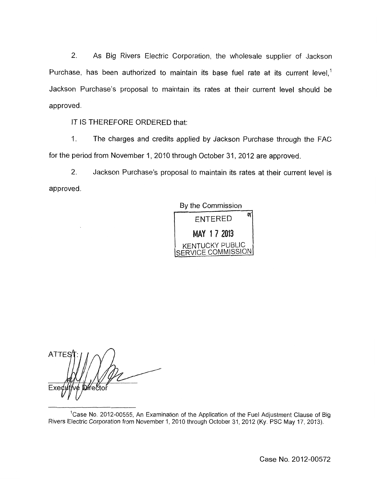2. As Big Rivers Electric Corporation, the wholesale supplier of Jackson Purchase, has been authorized to maintain its base fuel rate at its current level,<sup>1</sup> Jackson Purchase's proposal to maintain its rates at their current level should be approved.

IT IS THEREFORE ORDERED that:

1. The charges and credits applied by Jackson Purchase through the FAC for the period from November 1, 2010 through October 31, 2012 are approved.

2. Jackson Purchase's proposal to maintain its rates at their current level is approved.

**By** the Commission



**ATTE D**ifector

<sup>1</sup> Case No. 2012-00555, An Examination of the Application of the Fuel Adjustment Clause of Big Rivers Electric Corporation from November 1, 2010 through October 31, 2012 (Ky. PSC May 17, 2013).